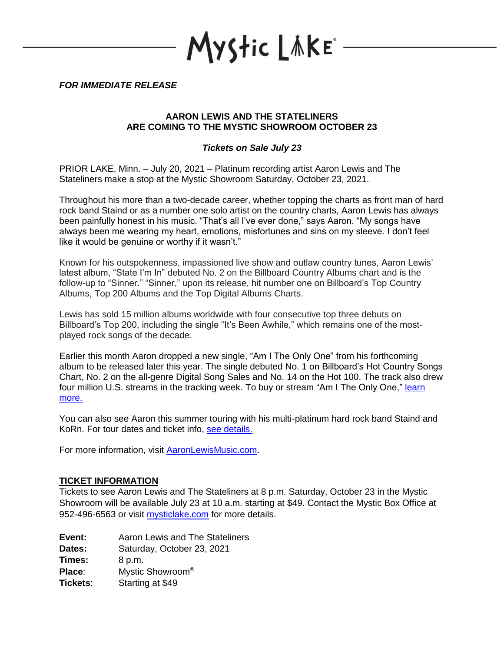yStic LǎKE°

*FOR IMMEDIATE RELEASE*

# **AARON LEWIS AND THE STATELINERS ARE COMING TO THE MYSTIC SHOWROOM OCTOBER 23**

# *Tickets on Sale July 23*

PRIOR LAKE, Minn. – July 20, 2021 – Platinum recording artist Aaron Lewis and The Stateliners make a stop at the Mystic Showroom Saturday, October 23, 2021.

Throughout his more than a two-decade career, whether topping the charts as front man of hard rock band Staind or as a number one solo artist on the country charts, Aaron Lewis has always been painfully honest in his music. "That's all I've ever done," says Aaron. "My songs have always been me wearing my heart, emotions, misfortunes and sins on my sleeve. I don't feel like it would be genuine or worthy if it wasn't."

Known for his outspokenness, impassioned live show and outlaw country tunes, Aaron Lewis' latest album, "State I'm In" debuted No. 2 on the Billboard Country Albums chart and is the follow-up to "Sinner." "Sinner," upon its release, hit number one on Billboard's Top Country Albums, Top 200 Albums and the Top Digital Albums Charts.

Lewis has sold 15 million albums worldwide with four consecutive top three debuts on Billboard's Top 200, including the single "It's Been Awhile," which remains one of the mostplayed rock songs of the decade.

Earlier this month Aaron dropped a new single, "Am I The Only One" from his forthcoming album to be released later this year. The single debuted No. 1 on Billboard's Hot Country Songs Chart, No. 2 on the all-genre Digital Song Sales and No. 14 on the Hot 100. The track also drew four million U.S. streams in the tracking week. To buy or stream "Am I The Only One," learn more.

You can also see Aaron this summer touring with his multi-platinum hard rock band Staind and KoRn. For tour dates and ticket info, see details.

For more information, visit [AaronLewisMusic.com.](http://www.aaronlewismusic.com/)

#### **TICKET INFORMATION**

Tickets to see Aaron Lewis and The Stateliners at 8 p.m. Saturday, October 23 in the Mystic Showroom will be available July 23 at 10 a.m. starting at \$49. Contact the Mystic Box Office at 952-496-6563 or visit [mysticlake.com](http://www.mysticlake.com/) for more details.

| Event: | Aaron Lewis and The Stateliners |
|--------|---------------------------------|
| Dates: | Saturday, October 23, 2021      |
|        |                                 |

**Times:** 8 p.m.

**Place**: Mystic Showroom®

**Tickets**: Starting at \$49